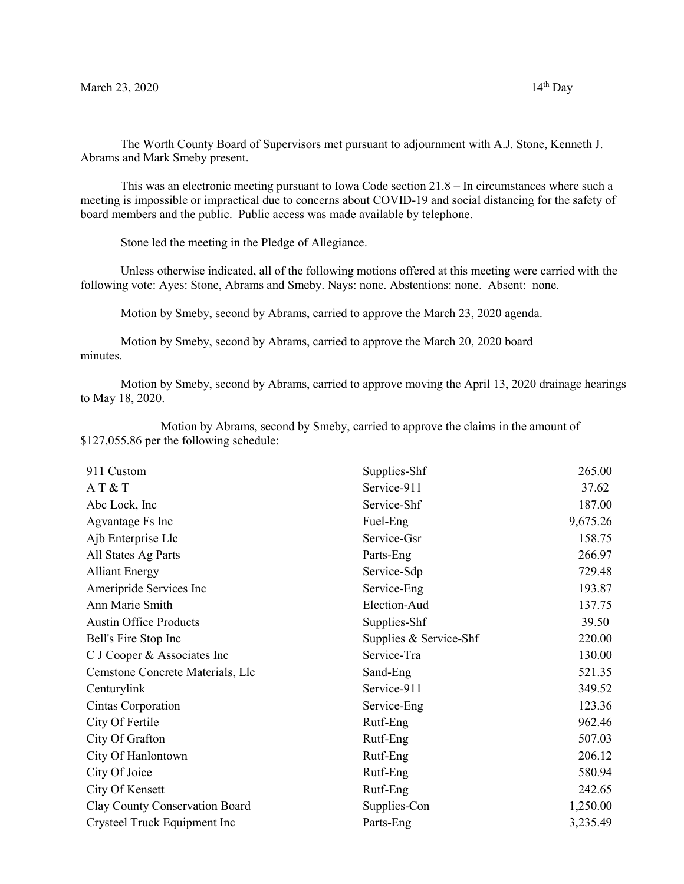The Worth County Board of Supervisors met pursuant to adjournment with A.J. Stone, Kenneth J. Abrams and Mark Smeby present.

This was an electronic meeting pursuant to Iowa Code section 21.8 – In circumstances where such a meeting is impossible or impractical due to concerns about COVID-19 and social distancing for the safety of board members and the public. Public access was made available by telephone.

Stone led the meeting in the Pledge of Allegiance.

Unless otherwise indicated, all of the following motions offered at this meeting were carried with the following vote: Ayes: Stone, Abrams and Smeby. Nays: none. Abstentions: none. Absent: none.

Motion by Smeby, second by Abrams, carried to approve the March 23, 2020 agenda.

Motion by Smeby, second by Abrams, carried to approve the March 20, 2020 board minutes.

Motion by Smeby, second by Abrams, carried to approve moving the April 13, 2020 drainage hearings to May 18, 2020.

Motion by Abrams, second by Smeby, carried to approve the claims in the amount of \$127,055.86 per the following schedule:

| 911 Custom                       | Supplies-Shf           | 265.00   |
|----------------------------------|------------------------|----------|
| AT & T                           | Service-911            | 37.62    |
| Abc Lock, Inc                    | Service-Shf            | 187.00   |
| Agvantage Fs Inc                 | Fuel-Eng               | 9,675.26 |
| Ajb Enterprise Llc               | Service-Gsr            | 158.75   |
| All States Ag Parts              | Parts-Eng              | 266.97   |
| <b>Alliant Energy</b>            | Service-Sdp            | 729.48   |
| Ameripride Services Inc          | Service-Eng            | 193.87   |
| Ann Marie Smith                  | Election-Aud           | 137.75   |
| <b>Austin Office Products</b>    | Supplies-Shf           | 39.50    |
| Bell's Fire Stop Inc             | Supplies & Service-Shf | 220.00   |
| C J Cooper & Associates Inc      | Service-Tra            | 130.00   |
| Cemstone Concrete Materials, Llc | Sand-Eng               | 521.35   |
| Centurylink                      | Service-911            | 349.52   |
| Cintas Corporation               | Service-Eng            | 123.36   |
| City Of Fertile                  | Rutf-Eng               | 962.46   |
| City Of Grafton                  | Rutf-Eng               | 507.03   |
| City Of Hanlontown               | Rutf-Eng               | 206.12   |
| City Of Joice                    | Rutf-Eng               | 580.94   |
| City Of Kensett                  | Rutf-Eng               | 242.65   |
| Clay County Conservation Board   | Supplies-Con           | 1,250.00 |
| Crysteel Truck Equipment Inc     | Parts-Eng              | 3,235.49 |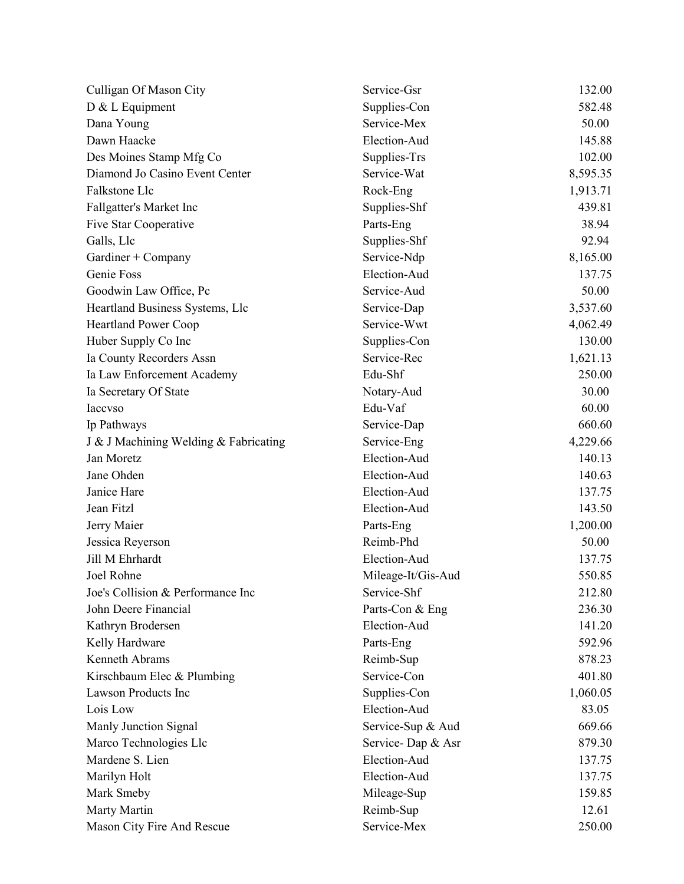| Culligan Of Mason City                | Service-Gsr        | 132.00   |
|---------------------------------------|--------------------|----------|
| D & L Equipment                       | Supplies-Con       | 582.48   |
| Dana Young                            | Service-Mex        | 50.00    |
| Dawn Haacke                           | Election-Aud       | 145.88   |
| Des Moines Stamp Mfg Co               | Supplies-Trs       | 102.00   |
| Diamond Jo Casino Event Center        | Service-Wat        | 8,595.35 |
| Falkstone Llc                         | Rock-Eng           | 1,913.71 |
| Fallgatter's Market Inc               | Supplies-Shf       | 439.81   |
| Five Star Cooperative                 | Parts-Eng          | 38.94    |
| Galls, Llc                            | Supplies-Shf       | 92.94    |
| Gardiner + Company                    | Service-Ndp        | 8,165.00 |
| Genie Foss                            | Election-Aud       | 137.75   |
| Goodwin Law Office, Pc                | Service-Aud        | 50.00    |
| Heartland Business Systems, Llc       | Service-Dap        | 3,537.60 |
| <b>Heartland Power Coop</b>           | Service-Wwt        | 4,062.49 |
| Huber Supply Co Inc                   | Supplies-Con       | 130.00   |
| Ia County Recorders Assn              | Service-Rec        | 1,621.13 |
| Ia Law Enforcement Academy            | Edu-Shf            | 250.00   |
| Ia Secretary Of State                 | Notary-Aud         | 30.00    |
| <b>Iaccyso</b>                        | Edu-Vaf            | 60.00    |
| Ip Pathways                           | Service-Dap        | 660.60   |
| J & J Machining Welding & Fabricating | Service-Eng        | 4,229.66 |
| Jan Moretz                            | Election-Aud       | 140.13   |
| Jane Ohden                            | Election-Aud       | 140.63   |
| Janice Hare                           | Election-Aud       | 137.75   |
| Jean Fitzl                            | Election-Aud       | 143.50   |
| Jerry Maier                           | Parts-Eng          | 1,200.00 |
| Jessica Reyerson                      | Reimb-Phd          | 50.00    |
| Jill M Ehrhardt                       | Election-Aud       | 137.75   |
| Joel Rohne                            | Mileage-It/Gis-Aud | 550.85   |
| Joe's Collision & Performance Inc     | Service-Shf        | 212.80   |
| John Deere Financial                  | Parts-Con & Eng    | 236.30   |
| Kathryn Brodersen                     | Election-Aud       | 141.20   |
| Kelly Hardware                        | Parts-Eng          | 592.96   |
| Kenneth Abrams                        | Reimb-Sup          | 878.23   |
| Kirschbaum Elec & Plumbing            | Service-Con        | 401.80   |
| <b>Lawson Products Inc</b>            | Supplies-Con       | 1,060.05 |
| Lois Low                              | Election-Aud       | 83.05    |
| Manly Junction Signal                 | Service-Sup & Aud  | 669.66   |
| Marco Technologies Llc                | Service-Dap & Asr  | 879.30   |
| Mardene S. Lien                       | Election-Aud       | 137.75   |
| Marilyn Holt                          | Election-Aud       | 137.75   |
| Mark Smeby                            | Mileage-Sup        | 159.85   |
| Marty Martin                          | Reimb-Sup          | 12.61    |
| Mason City Fire And Rescue            | Service-Mex        | 250.00   |
|                                       |                    |          |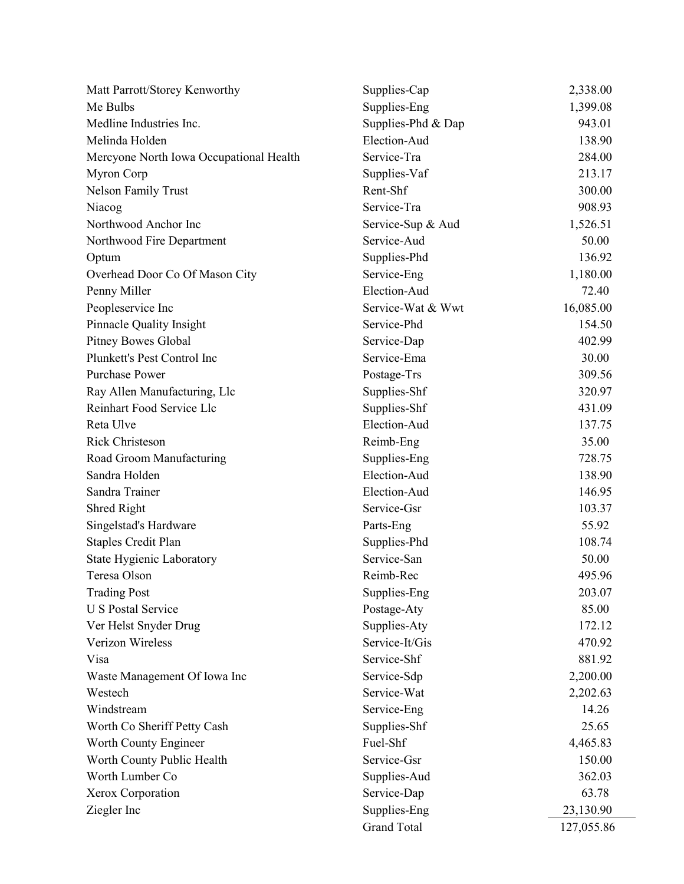| Matt Parrott/Storey Kenworthy           | Supplies-Cap       | 2,338.00   |
|-----------------------------------------|--------------------|------------|
| Me Bulbs                                | Supplies-Eng       | 1,399.08   |
| Medline Industries Inc.                 | Supplies-Phd & Dap | 943.01     |
| Melinda Holden                          | Election-Aud       | 138.90     |
| Mercyone North Iowa Occupational Health | Service-Tra        | 284.00     |
| Myron Corp                              | Supplies-Vaf       | 213.17     |
| <b>Nelson Family Trust</b>              | Rent-Shf           | 300.00     |
| Niacog                                  | Service-Tra        | 908.93     |
| Northwood Anchor Inc                    | Service-Sup & Aud  | 1,526.51   |
| Northwood Fire Department               | Service-Aud        | 50.00      |
| Optum                                   | Supplies-Phd       | 136.92     |
| Overhead Door Co Of Mason City          | Service-Eng        | 1,180.00   |
| Penny Miller                            | Election-Aud       | 72.40      |
| Peopleservice Inc                       | Service-Wat & Wwt  | 16,085.00  |
| Pinnacle Quality Insight                | Service-Phd        | 154.50     |
| <b>Pitney Bowes Global</b>              | Service-Dap        | 402.99     |
| Plunkett's Pest Control Inc             | Service-Ema        | 30.00      |
| <b>Purchase Power</b>                   | Postage-Trs        | 309.56     |
| Ray Allen Manufacturing, Llc            | Supplies-Shf       | 320.97     |
| Reinhart Food Service Llc               | Supplies-Shf       | 431.09     |
| Reta Ulve                               | Election-Aud       | 137.75     |
| <b>Rick Christeson</b>                  | Reimb-Eng          | 35.00      |
| Road Groom Manufacturing                | Supplies-Eng       | 728.75     |
| Sandra Holden                           | Election-Aud       | 138.90     |
| Sandra Trainer                          | Election-Aud       | 146.95     |
| Shred Right                             | Service-Gsr        | 103.37     |
| Singelstad's Hardware                   | Parts-Eng          | 55.92      |
| <b>Staples Credit Plan</b>              | Supplies-Phd       | 108.74     |
| State Hygienic Laboratory               | Service-San        | 50.00      |
| Teresa Olson                            | Reimb-Rec          | 495.96     |
| <b>Trading Post</b>                     | Supplies-Eng       | 203.07     |
| <b>U S Postal Service</b>               | Postage-Aty        | 85.00      |
| Ver Helst Snyder Drug                   | Supplies-Aty       | 172.12     |
| Verizon Wireless                        | Service-It/Gis     | 470.92     |
| Visa                                    | Service-Shf        | 881.92     |
| Waste Management Of Iowa Inc            | Service-Sdp        | 2,200.00   |
| Westech                                 | Service-Wat        | 2,202.63   |
| Windstream                              | Service-Eng        | 14.26      |
| Worth Co Sheriff Petty Cash             | Supplies-Shf       | 25.65      |
| Worth County Engineer                   | Fuel-Shf           | 4,465.83   |
| Worth County Public Health              | Service-Gsr        | 150.00     |
| Worth Lumber Co                         | Supplies-Aud       | 362.03     |
| Xerox Corporation                       | Service-Dap        | 63.78      |
| Ziegler Inc                             | Supplies-Eng       | 23,130.90  |
|                                         | <b>Grand Total</b> | 127,055.86 |